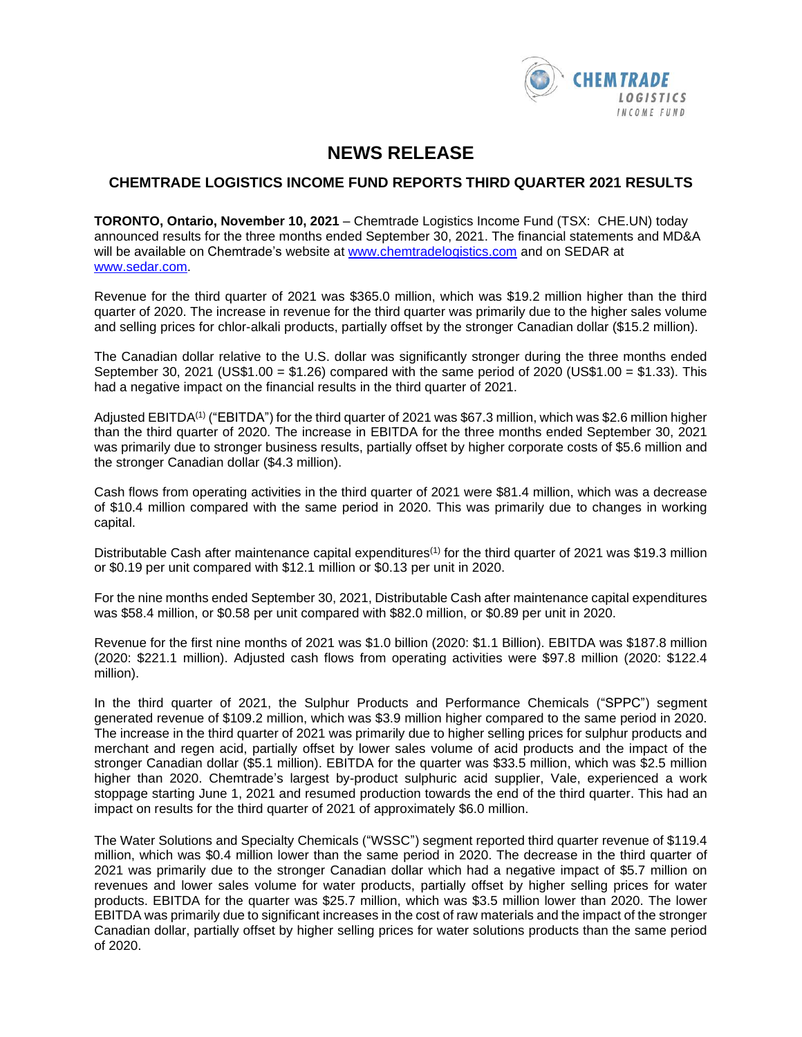

# **NEWS RELEASE**

# **CHEMTRADE LOGISTICS INCOME FUND REPORTS THIRD QUARTER 2021 RESULTS**

**TORONTO, Ontario, November 10, 2021** – Chemtrade Logistics Income Fund (TSX: CHE.UN) today announced results for the three months ended September 30, 2021. The financial statements and MD&A will be available on Chemtrade's website at www[.chemtradelogistics.com](http://chemtradelogistics.com/) and on SEDAR at www[.sedar.com.](http://www.sedar.com/)

Revenue for the third quarter of 2021 was \$365.0 million, which was \$19.2 million higher than the third quarter of 2020. The increase in revenue for the third quarter was primarily due to the higher sales volume and selling prices for chlor-alkali products, partially offset by the stronger Canadian dollar (\$15.2 million).

The Canadian dollar relative to the U.S. dollar was significantly stronger during the three months ended September 30, 2021 (US\$1.00 = \$1.26) compared with the same period of 2020 (US\$1.00 = \$1.33). This had a negative impact on the financial results in the third quarter of 2021.

Adjusted EBITDA<sup>(1)</sup> ("EBITDA") for the third quarter of 2021 was \$67.3 million, which was \$2.6 million higher than the third quarter of 2020. The increase in EBITDA for the three months ended September 30, 2021 was primarily due to stronger business results, partially offset by higher corporate costs of \$5.6 million and the stronger Canadian dollar (\$4.3 million).

Cash flows from operating activities in the third quarter of 2021 were \$81.4 million, which was a decrease of \$10.4 million compared with the same period in 2020. This was primarily due to changes in working capital.

Distributable Cash after maintenance capital expenditures<sup>(1)</sup> for the third quarter of 2021 was \$19.3 million or \$0.19 per unit compared with \$12.1 million or \$0.13 per unit in 2020.

For the nine months ended September 30, 2021, Distributable Cash after maintenance capital expenditures was \$58.4 million, or \$0.58 per unit compared with \$82.0 million, or \$0.89 per unit in 2020.

Revenue for the first nine months of 2021 was \$1.0 billion (2020: \$1.1 Billion). EBITDA was \$187.8 million (2020: \$221.1 million). Adjusted cash flows from operating activities were \$97.8 million (2020: \$122.4 million).

In the third quarter of 2021, the Sulphur Products and Performance Chemicals ("SPPC") segment generated revenue of \$109.2 million, which was \$3.9 million higher compared to the same period in 2020. The increase in the third quarter of 2021 was primarily due to higher selling prices for sulphur products and merchant and regen acid, partially offset by lower sales volume of acid products and the impact of the stronger Canadian dollar (\$5.1 million). EBITDA for the quarter was \$33.5 million, which was \$2.5 million higher than 2020. Chemtrade's largest by-product sulphuric acid supplier, Vale, experienced a work stoppage starting June 1, 2021 and resumed production towards the end of the third quarter. This had an impact on results for the third quarter of 2021 of approximately \$6.0 million.

The Water Solutions and Specialty Chemicals ("WSSC") segment reported third quarter revenue of \$119.4 million, which was \$0.4 million lower than the same period in 2020. The decrease in the third quarter of 2021 was primarily due to the stronger Canadian dollar which had a negative impact of \$5.7 million on revenues and lower sales volume for water products, partially offset by higher selling prices for water products. EBITDA for the quarter was \$25.7 million, which was \$3.5 million lower than 2020. The lower EBITDA was primarily due to significant increases in the cost of raw materials and the impact of the stronger Canadian dollar, partially offset by higher selling prices for water solutions products than the same period of 2020.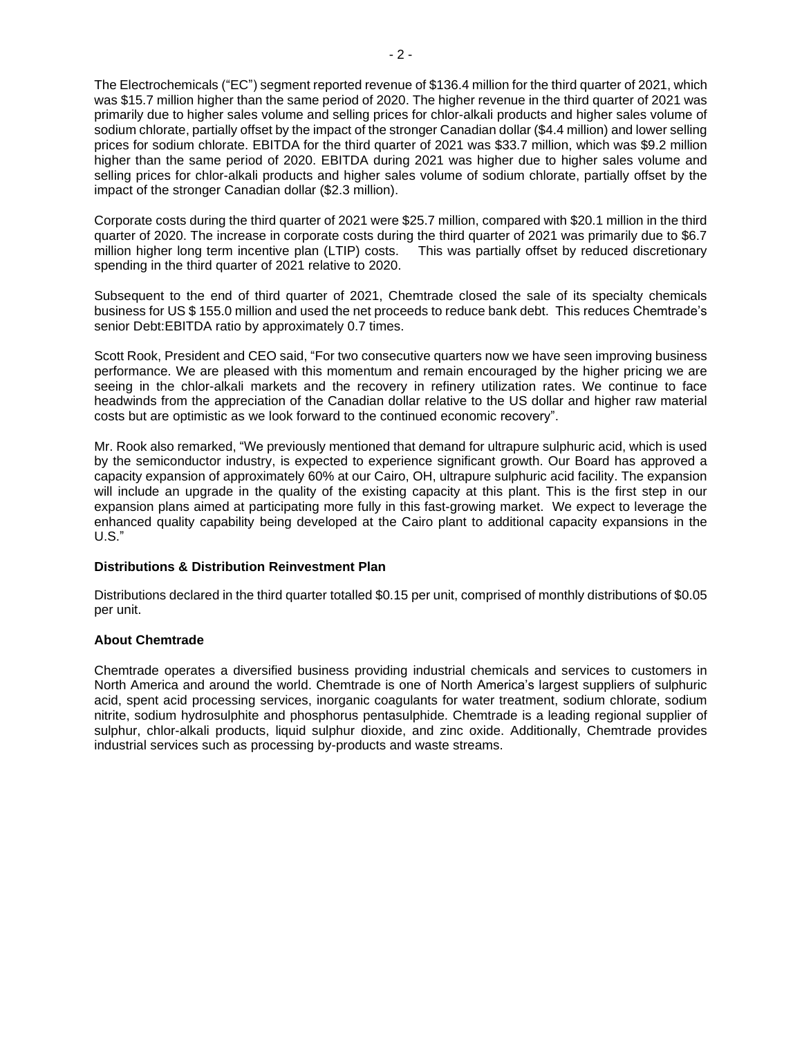The Electrochemicals ("EC") segment reported revenue of \$136.4 million for the third quarter of 2021, which was \$15.7 million higher than the same period of 2020. The higher revenue in the third quarter of 2021 was primarily due to higher sales volume and selling prices for chlor-alkali products and higher sales volume of sodium chlorate, partially offset by the impact of the stronger Canadian dollar (\$4.4 million) and lower selling prices for sodium chlorate. EBITDA for the third quarter of 2021 was \$33.7 million, which was \$9.2 million higher than the same period of 2020. EBITDA during 2021 was higher due to higher sales volume and selling prices for chlor-alkali products and higher sales volume of sodium chlorate, partially offset by the impact of the stronger Canadian dollar (\$2.3 million).

Corporate costs during the third quarter of 2021 were \$25.7 million, compared with \$20.1 million in the third quarter of 2020. The increase in corporate costs during the third quarter of 2021 was primarily due to \$6.7 million higher long term incentive plan (LTIP) costs. This was partially offset by reduced discretionary spending in the third quarter of 2021 relative to 2020.

Subsequent to the end of third quarter of 2021, Chemtrade closed the sale of its specialty chemicals business for US \$ 155.0 million and used the net proceeds to reduce bank debt. This reduces Chemtrade's senior Debt:EBITDA ratio by approximately 0.7 times.

Scott Rook, President and CEO said, "For two consecutive quarters now we have seen improving business performance. We are pleased with this momentum and remain encouraged by the higher pricing we are seeing in the chlor-alkali markets and the recovery in refinery utilization rates. We continue to face headwinds from the appreciation of the Canadian dollar relative to the US dollar and higher raw material costs but are optimistic as we look forward to the continued economic recovery".

Mr. Rook also remarked, "We previously mentioned that demand for ultrapure sulphuric acid, which is used by the semiconductor industry, is expected to experience significant growth. Our Board has approved a capacity expansion of approximately 60% at our Cairo, OH, ultrapure sulphuric acid facility. The expansion will include an upgrade in the quality of the existing capacity at this plant. This is the first step in our expansion plans aimed at participating more fully in this fast-growing market. We expect to leverage the enhanced quality capability being developed at the Cairo plant to additional capacity expansions in the U.S."

### **Distributions & Distribution Reinvestment Plan**

Distributions declared in the third quarter totalled \$0.15 per unit, comprised of monthly distributions of \$0.05 per unit.

## **About Chemtrade**

Chemtrade operates a diversified business providing industrial chemicals and services to customers in North America and around the world. Chemtrade is one of North America's largest suppliers of sulphuric acid, spent acid processing services, inorganic coagulants for water treatment, sodium chlorate, sodium nitrite, sodium hydrosulphite and phosphorus pentasulphide. Chemtrade is a leading regional supplier of sulphur, chlor-alkali products, liquid sulphur dioxide, and zinc oxide. Additionally, Chemtrade provides industrial services such as processing by-products and waste streams.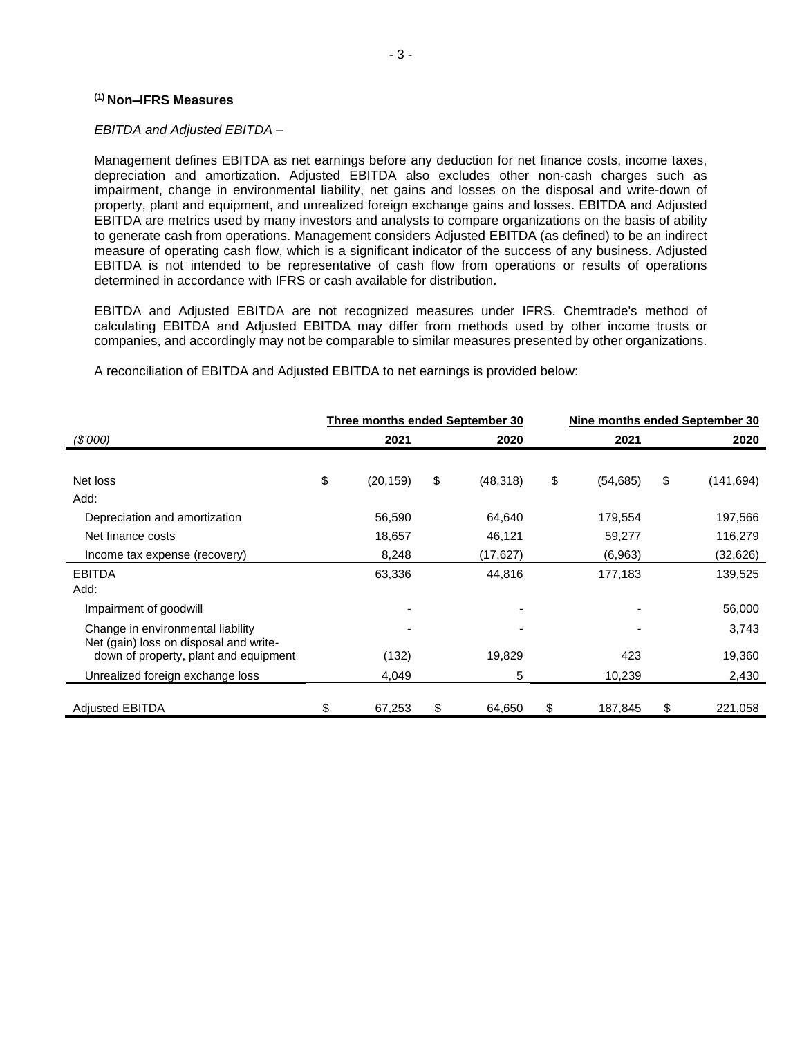#### **(1) Non–IFRS Measures**

#### *EBITDA and Adjusted EBITDA –*

Management defines EBITDA as net earnings before any deduction for net finance costs, income taxes, depreciation and amortization. Adjusted EBITDA also excludes other non-cash charges such as impairment, change in environmental liability, net gains and losses on the disposal and write-down of property, plant and equipment, and unrealized foreign exchange gains and losses. EBITDA and Adjusted EBITDA are metrics used by many investors and analysts to compare organizations on the basis of ability to generate cash from operations. Management considers Adjusted EBITDA (as defined) to be an indirect measure of operating cash flow, which is a significant indicator of the success of any business. Adjusted EBITDA is not intended to be representative of cash flow from operations or results of operations determined in accordance with IFRS or cash available for distribution.

EBITDA and Adjusted EBITDA are not recognized measures under IFRS. Chemtrade's method of calculating EBITDA and Adjusted EBITDA may differ from methods used by other income trusts or companies, and accordingly may not be comparable to similar measures presented by other organizations.

**Three months ended September 30 Nine months ended September 30** *(\$'000)* **2021 2020 2021 2020** Net loss \$ (20,159) \$ (48,318) \$ (54,685) \$ (141,694) Add: Depreciation and amortization 56,590 64,640 179,554 197,566 Net finance costs **18,657** 46,121 59,277 116,279 Income tax expense (recovery) 8,248 (17,627) (6,963) (32,626) EBITDA 63,336 44,816 177,183 139,525 Add: Impairment of goodwill and the state of the state of the state of the state of the state of the state of the state of the state of the state of the state of the state of the state of the state of the state of the state of Change in environmental liability and the set of the set of the set of the set of the set of the set of the set of the set of the set of the set of the set of the set of the set of the set of the set of the set of the set Net (gain) loss on disposal and writedown of property, plant and equipment (132) 19,829 423 19,360 Unrealized foreign exchange loss  $4,049$   $5$  10,239 2,430

Adjusted EBITDA \$ 67,253 \$ 64,650 \$ 187,845 \$ 221,058

A reconciliation of EBITDA and Adjusted EBITDA to net earnings is provided below: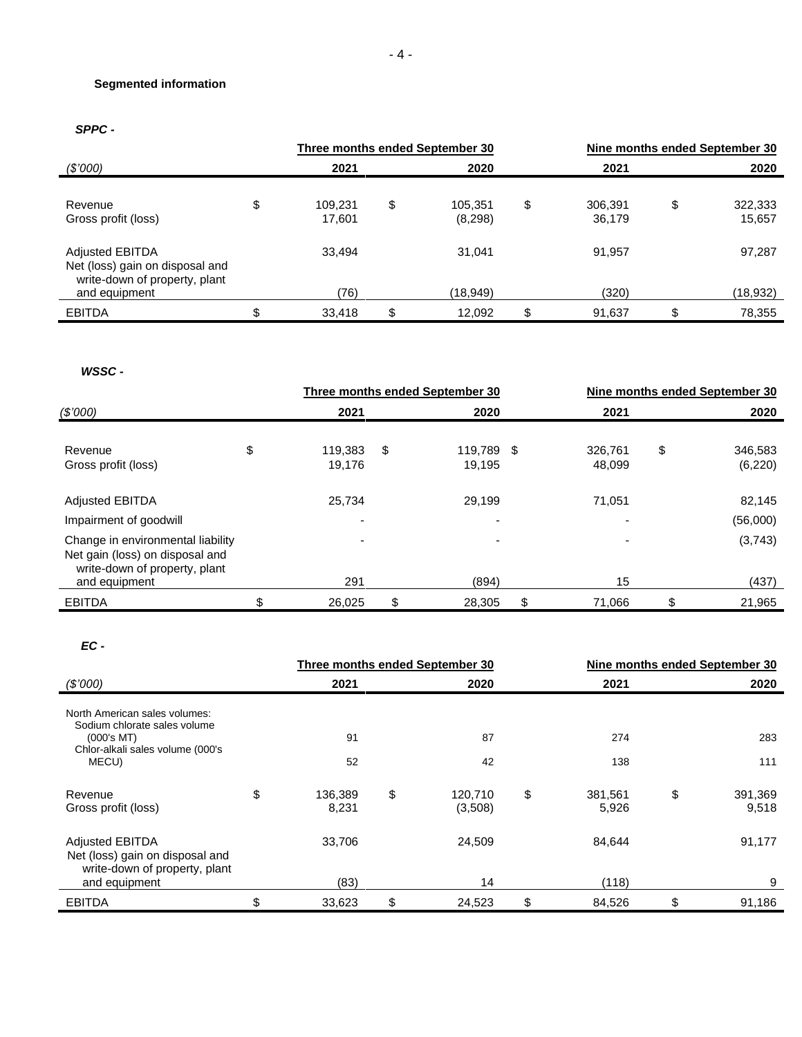## **Segmented information**

# *SPPC -*

|                                                                                            | Three months ended September 30 |    |                    | Nine months ended September 30 |                   |    |                   |
|--------------------------------------------------------------------------------------------|---------------------------------|----|--------------------|--------------------------------|-------------------|----|-------------------|
| (S'000)                                                                                    | 2021                            |    | 2020               |                                | 2021              |    | 2020              |
| Revenue<br>Gross profit (loss)                                                             | \$<br>109.231<br>17,601         | \$ | 105.351<br>(8,298) | \$                             | 306.391<br>36,179 | \$ | 322,333<br>15,657 |
| <b>Adjusted EBITDA</b><br>Net (loss) gain on disposal and<br>write-down of property, plant | 33.494                          |    | 31.041             |                                | 91,957            |    | 97,287            |
| and equipment                                                                              | (76)                            |    | (18,949)           |                                | (320)             |    | (18,932)          |
| <b>EBITDA</b>                                                                              | \$<br>33,418                    | \$ | 12,092             | \$                             | 91,637            |    | 78,355            |

## *WSSC -*

|                                                                                                       |      | Three months ended September 30 |      |                      |      | Nine months ended September 30 |      |                     |
|-------------------------------------------------------------------------------------------------------|------|---------------------------------|------|----------------------|------|--------------------------------|------|---------------------|
| (\$7000)                                                                                              | 2021 |                                 | 2020 |                      | 2021 |                                | 2020 |                     |
| Revenue<br>Gross profit (loss)                                                                        | \$   | 119.383<br>19,176               | \$   | 119,789 \$<br>19,195 |      | 326,761<br>48,099              | \$   | 346,583<br>(6, 220) |
| <b>Adjusted EBITDA</b>                                                                                |      | 25.734                          |      | 29,199               |      | 71,051                         |      | 82,145              |
| Impairment of goodwill                                                                                |      |                                 |      |                      |      |                                |      | (56,000)            |
| Change in environmental liability<br>Net gain (loss) on disposal and<br>write-down of property, plant |      |                                 |      |                      |      |                                |      | (3,743)             |
| and equipment                                                                                         |      | 291                             |      | (894)                |      | 15                             |      | (437)               |
| <b>EBITDA</b>                                                                                         | \$.  | 26,025                          | \$   | 28,305               | \$   | 71,066                         | \$   | 21,965              |

#### *EC -*

|                                                                                            |                        | <b>Three months ended September 30</b> | Nine months ended September 30 |                  |    |                  |
|--------------------------------------------------------------------------------------------|------------------------|----------------------------------------|--------------------------------|------------------|----|------------------|
| (\$7000)                                                                                   | 2021                   | 2020                                   |                                | 2021             |    | 2020             |
| North American sales volumes:<br>Sodium chlorate sales volume                              |                        |                                        |                                |                  |    |                  |
| (000's MT)                                                                                 | 91                     | 87                                     |                                | 274              |    | 283              |
| Chlor-alkali sales volume (000's<br>MECU)                                                  | 52                     | 42                                     |                                | 138              |    | 111              |
| Revenue<br>Gross profit (loss)                                                             | \$<br>136,389<br>8,231 | \$<br>120,710<br>(3,508)               | \$                             | 381,561<br>5,926 | \$ | 391,369<br>9,518 |
| <b>Adjusted EBITDA</b><br>Net (loss) gain on disposal and<br>write-down of property, plant | 33.706                 | 24,509                                 |                                | 84,644           |    | 91,177           |
| and equipment                                                                              | (83)                   | 14                                     |                                | (118)            |    | 9                |
| <b>EBITDA</b>                                                                              | \$<br>33,623           | \$<br>24,523                           | \$                             | 84,526           | \$ | 91,186           |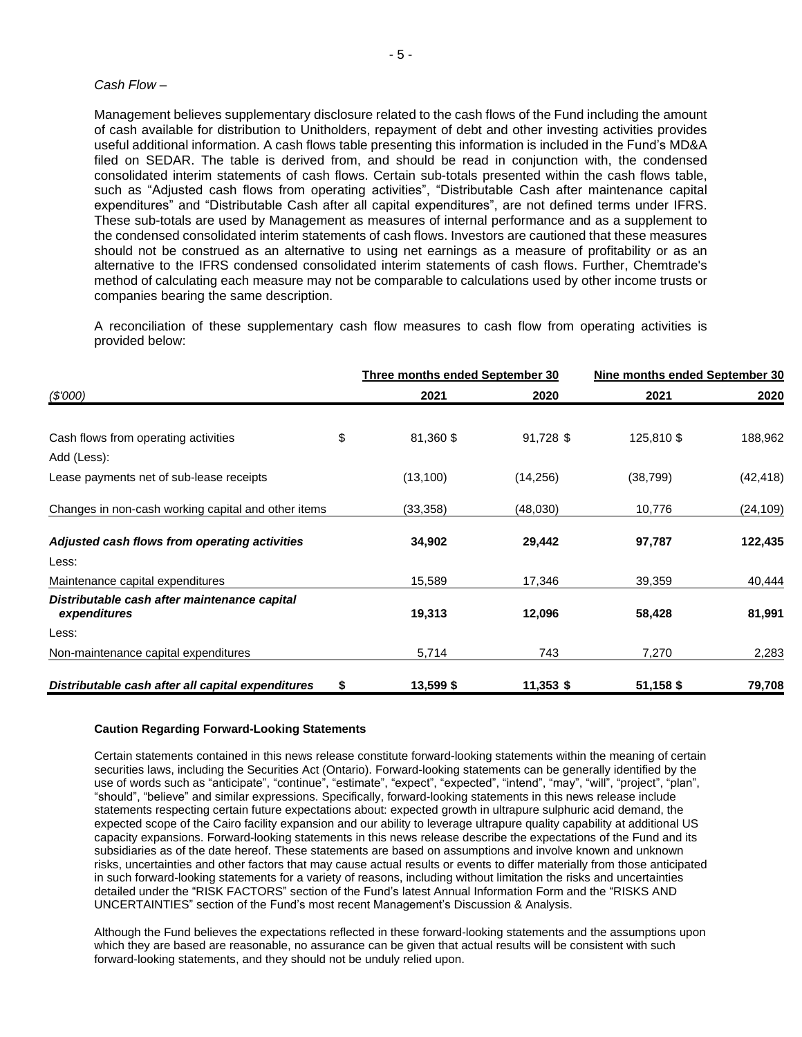#### *Cash Flow –*

Management believes supplementary disclosure related to the cash flows of the Fund including the amount of cash available for distribution to Unitholders, repayment of debt and other investing activities provides useful additional information. A cash flows table presenting this information is included in the Fund's MD&A filed on SEDAR. The table is derived from, and should be read in conjunction with, the condensed consolidated interim statements of cash flows. Certain sub-totals presented within the cash flows table, such as "Adjusted cash flows from operating activities", "Distributable Cash after maintenance capital expenditures" and "Distributable Cash after all capital expenditures", are not defined terms under IFRS. These sub-totals are used by Management as measures of internal performance and as a supplement to the condensed consolidated interim statements of cash flows. Investors are cautioned that these measures should not be construed as an alternative to using net earnings as a measure of profitability or as an alternative to the IFRS condensed consolidated interim statements of cash flows. Further, Chemtrade's method of calculating each measure may not be comparable to calculations used by other income trusts or companies bearing the same description.

A reconciliation of these supplementary cash flow measures to cash flow from operating activities is provided below:

|                                                              | <b>Three months ended September 30</b> |             | Nine months ended September 30 |           |  |
|--------------------------------------------------------------|----------------------------------------|-------------|--------------------------------|-----------|--|
| (\$'000)                                                     | 2021                                   | 2020        | 2021                           | 2020      |  |
|                                                              |                                        |             |                                |           |  |
| Cash flows from operating activities                         | \$<br>81,360\$                         | 91,728 \$   | 125,810 \$                     | 188,962   |  |
| Add (Less):                                                  |                                        |             |                                |           |  |
| Lease payments net of sub-lease receipts                     | (13, 100)                              | (14, 256)   | (38, 799)                      | (42, 418) |  |
| Changes in non-cash working capital and other items          | (33, 358)                              | (48,030)    | 10,776                         | (24, 109) |  |
| Adjusted cash flows from operating activities                | 34,902                                 | 29,442      | 97,787                         | 122,435   |  |
| Less:                                                        |                                        |             |                                |           |  |
| Maintenance capital expenditures                             | 15,589                                 | 17,346      | 39,359                         | 40,444    |  |
| Distributable cash after maintenance capital<br>expenditures | 19,313                                 | 12,096      | 58,428                         | 81,991    |  |
| Less:                                                        |                                        |             |                                |           |  |
| Non-maintenance capital expenditures                         | 5,714                                  | 743         | 7,270                          | 2,283     |  |
| Distributable cash after all capital expenditures            | \$<br>13,599\$                         | $11,353$ \$ | 51,158\$                       | 79,708    |  |

#### **Caution Regarding Forward-Looking Statements**

Certain statements contained in this news release constitute forward-looking statements within the meaning of certain securities laws, including the Securities Act (Ontario). Forward-looking statements can be generally identified by the use of words such as "anticipate", "continue", "estimate", "expect", "expected", "intend", "may", "will", "project", "plan", "should", "believe" and similar expressions. Specifically, forward-looking statements in this news release include statements respecting certain future expectations about: expected growth in ultrapure sulphuric acid demand, the expected scope of the Cairo facility expansion and our ability to leverage ultrapure quality capability at additional US capacity expansions. Forward-looking statements in this news release describe the expectations of the Fund and its subsidiaries as of the date hereof. These statements are based on assumptions and involve known and unknown risks, uncertainties and other factors that may cause actual results or events to differ materially from those anticipated in such forward-looking statements for a variety of reasons, including without limitation the risks and uncertainties detailed under the "RISK FACTORS" section of the Fund's latest Annual Information Form and the "RISKS AND UNCERTAINTIES" section of the Fund's most recent Management's Discussion & Analysis.

Although the Fund believes the expectations reflected in these forward-looking statements and the assumptions upon which they are based are reasonable, no assurance can be given that actual results will be consistent with such forward-looking statements, and they should not be unduly relied upon.